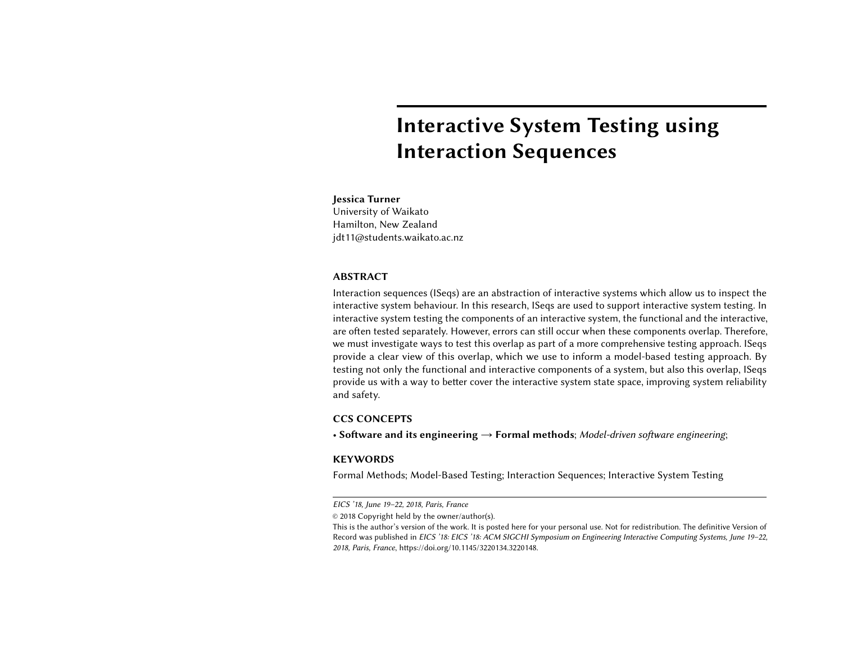# Interactive System Testing using Interaction Sequences

# Jessica Turner

University of Waikato Hamilton, New Zealand jdt11@students.waikato.ac.nz

#### ABSTRACT

Interaction sequences (ISeqs) are an abstraction of interactive systems which allow us to inspect the interactive system behaviour. In this research, ISeqs are used to support interactive system testing. In interactive system testing the components of an interactive system, the functional and the interactive, are often tested separately. However, errors can still occur when these components overlap. Therefore, we must investigate ways to test this overlap as part of a more comprehensive testing approach. ISeqs provide a clear view of this overlap, which we use to inform a model-based testing approach. By testing not only the functional and interactive components of a system, but also this overlap, ISeqs provide us with a way to better cover the interactive system state space, improving system reliability and safety.

# CCS CONCEPTS

• Software and its engineering  $\rightarrow$  Formal methods; Model-driven software engineering;

# **KEYWORDS**

Formal Methods; Model-Based Testing; Interaction Sequences; Interactive System Testing

EICS '18, June 19–22, 2018, Paris, France

<sup>©</sup> 2018 Copyright held by the owner/author(s).

This is the author's version of the work. It is posted here for your personal use. Not for redistribution. The definitive Version of Record was published in EICS '18: EICS '18: ACM SIGCHI Symposium on Engineering Interactive Computing Systems, June 19–22, 2018, Paris, France, [https://doi.org/10.1145/3220134.3220148.](https://doi.org/10.1145/3220134.3220148)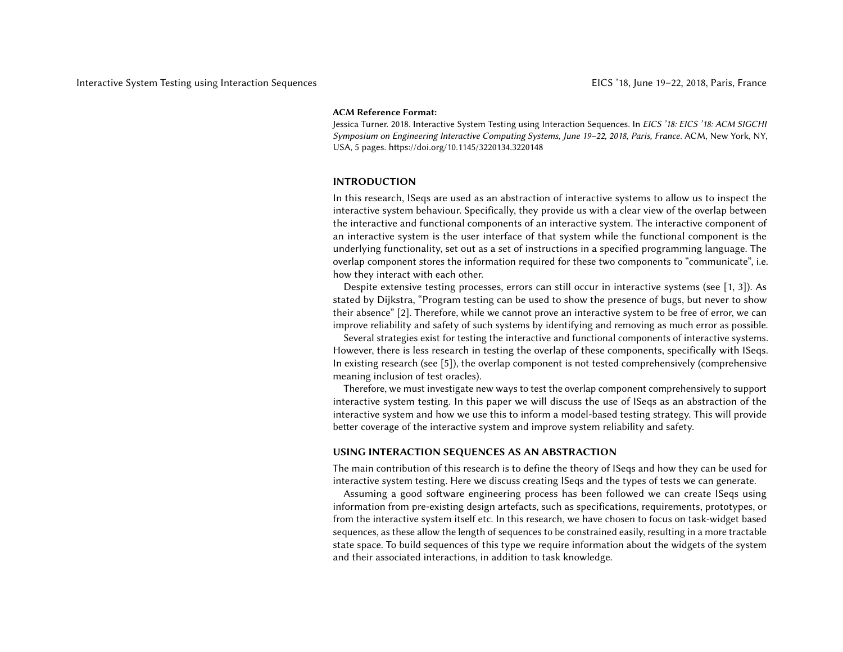#### ACM Reference Format:

Jessica Turner. 2018. Interactive System Testing using Interaction Sequences. In EICS '18: EICS '18: ACM SIGCHI Symposium on Engineering Interactive Computing Systems, June 19–22, 2018, Paris, France. ACM, New York, NY, USA, [5](#page-4-0) pages.<https://doi.org/10.1145/3220134.3220148>

## INTRODUCTION

In this research, ISeqs are used as an abstraction of interactive systems to allow us to inspect the interactive system behaviour. Specifically, they provide us with a clear view of the overlap between the interactive and functional components of an interactive system. The interactive component of an interactive system is the user interface of that system while the functional component is the underlying functionality, set out as a set of instructions in a specified programming language. The overlap component stores the information required for these two components to "communicate", i.e. how they interact with each other.

Despite extensive testing processes, errors can still occur in interactive systems (see [\[1,](#page-4-1) [3\]](#page-4-2)). As stated by Dijkstra, "Program testing can be used to show the presence of bugs, but never to show their absence" [\[2\]](#page-4-3). Therefore, while we cannot prove an interactive system to be free of error, we can improve reliability and safety of such systems by identifying and removing as much error as possible.

Several strategies exist for testing the interactive and functional components of interactive systems. However, there is less research in testing the overlap of these components, specifically with ISeqs. In existing research (see [\[5\]](#page-4-4)), the overlap component is not tested comprehensively (comprehensive meaning inclusion of test oracles).

Therefore, we must investigate new ways to test the overlap component comprehensively to support interactive system testing. In this paper we will discuss the use of ISeqs as an abstraction of the interactive system and how we use this to inform a model-based testing strategy. This will provide better coverage of the interactive system and improve system reliability and safety.

#### USING INTERACTION SEQUENCES AS AN ABSTRACTION

The main contribution of this research is to define the theory of ISeqs and how they can be used for interactive system testing. Here we discuss creating ISeqs and the types of tests we can generate.

Assuming a good software engineering process has been followed we can create ISeqs using information from pre-existing design artefacts, such as specifications, requirements, prototypes, or from the interactive system itself etc. In this research, we have chosen to focus on task-widget based sequences, as these allow the length of sequences to be constrained easily, resulting in a more tractable state space. To build sequences of this type we require information about the widgets of the system and their associated interactions, in addition to task knowledge.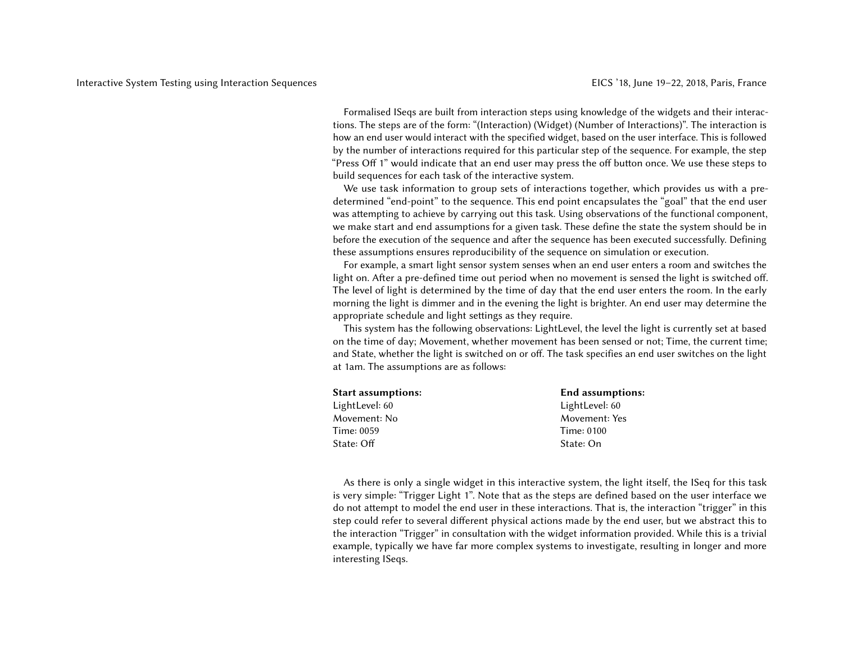Formalised ISeqs are built from interaction steps using knowledge of the widgets and their interactions. The steps are of the form: "(Interaction) (Widget) (Number of Interactions)". The interaction is how an end user would interact with the specified widget, based on the user interface. This is followed by the number of interactions required for this particular step of the sequence. For example, the step "Press Off 1" would indicate that an end user may press the off button once. We use these steps to build sequences for each task of the interactive system.

We use task information to group sets of interactions together, which provides us with a predetermined "end-point" to the sequence. This end point encapsulates the "goal" that the end user was attempting to achieve by carrying out this task. Using observations of the functional component, we make start and end assumptions for a given task. These define the state the system should be in before the execution of the sequence and after the sequence has been executed successfully. Defining these assumptions ensures reproducibility of the sequence on simulation or execution.

For example, a smart light sensor system senses when an end user enters a room and switches the light on. After a pre-defined time out period when no movement is sensed the light is switched off. The level of light is determined by the time of day that the end user enters the room. In the early morning the light is dimmer and in the evening the light is brighter. An end user may determine the appropriate schedule and light settings as they require.

This system has the following observations: LightLevel, the level the light is currently set at based on the time of day; Movement, whether movement has been sensed or not; Time, the current time; and State, whether the light is switched on or off. The task specifies an end user switches on the light at 1am. The assumptions are as follows:

| <b>Start assumptions:</b> | <b>End assumptions:</b> |
|---------------------------|-------------------------|
| LightLevel: 60            | LightLevel: 60          |
| Movement: No              | Movement: Yes           |
| Time: 0059                | Time: 0100              |
| State: Off                | State: On               |

As there is only a single widget in this interactive system, the light itself, the ISeq for this task is very simple: "Trigger Light 1". Note that as the steps are defined based on the user interface we do not attempt to model the end user in these interactions. That is, the interaction "trigger" in this step could refer to several different physical actions made by the end user, but we abstract this to the interaction "Trigger" in consultation with the widget information provided. While this is a trivial example, typically we have far more complex systems to investigate, resulting in longer and more interesting ISeqs.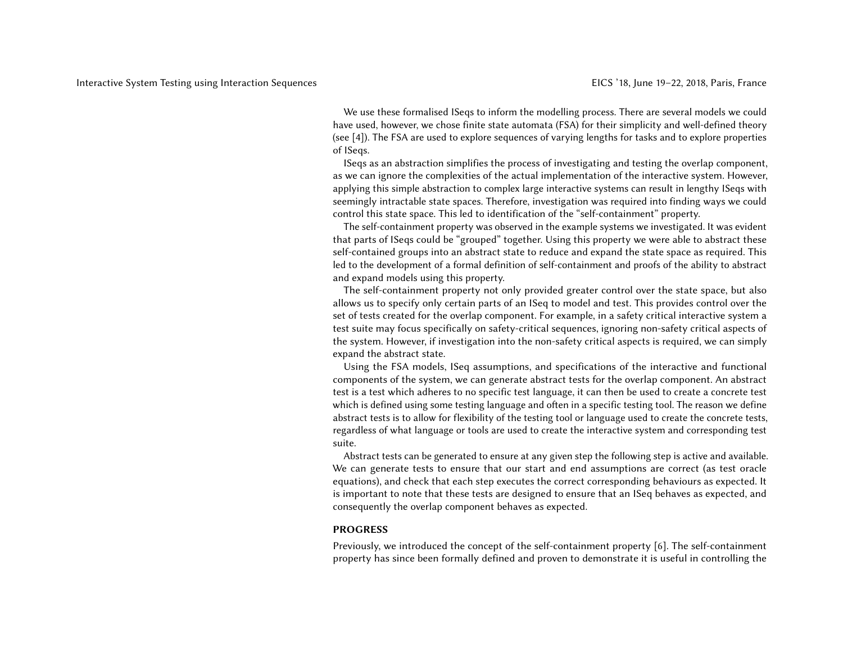We use these formalised ISeqs to inform the modelling process. There are several models we could have used, however, we chose finite state automata (FSA) for their simplicity and well-defined theory (see [\[4\]](#page-4-5)). The FSA are used to explore sequences of varying lengths for tasks and to explore properties of ISeqs.

ISeqs as an abstraction simplifies the process of investigating and testing the overlap component, as we can ignore the complexities of the actual implementation of the interactive system. However, applying this simple abstraction to complex large interactive systems can result in lengthy ISeqs with seemingly intractable state spaces. Therefore, investigation was required into finding ways we could control this state space. This led to identification of the "self-containment" property.

The self-containment property was observed in the example systems we investigated. It was evident that parts of ISeqs could be "grouped" together. Using this property we were able to abstract these self-contained groups into an abstract state to reduce and expand the state space as required. This led to the development of a formal definition of self-containment and proofs of the ability to abstract and expand models using this property.

The self-containment property not only provided greater control over the state space, but also allows us to specify only certain parts of an ISeq to model and test. This provides control over the set of tests created for the overlap component. For example, in a safety critical interactive system a test suite may focus specifically on safety-critical sequences, ignoring non-safety critical aspects of the system. However, if investigation into the non-safety critical aspects is required, we can simply expand the abstract state.

Using the FSA models, ISeq assumptions, and specifications of the interactive and functional components of the system, we can generate abstract tests for the overlap component. An abstract test is a test which adheres to no specific test language, it can then be used to create a concrete test which is defined using some testing language and often in a specific testing tool. The reason we define abstract tests is to allow for flexibility of the testing tool or language used to create the concrete tests, regardless of what language or tools are used to create the interactive system and corresponding test suite.

Abstract tests can be generated to ensure at any given step the following step is active and available. We can generate tests to ensure that our start and end assumptions are correct (as test oracle equations), and check that each step executes the correct corresponding behaviours as expected. It is important to note that these tests are designed to ensure that an ISeq behaves as expected, and consequently the overlap component behaves as expected.

## **PROGRESS**

Previously, we introduced the concept of the self-containment property [\[6\]](#page-4-6). The self-containment property has since been formally defined and proven to demonstrate it is useful in controlling the